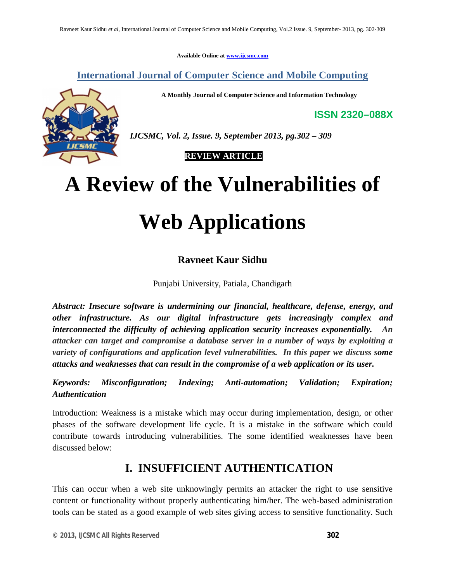**Available Online at www.ijcsmc.com**

**International Journal of Computer Science and Mobile Computing**

**A Monthly Journal of Computer Science and Information Technology**

**ISSN 2320–088X**



 *IJCSMC, Vol. 2, Issue. 9, September 2013, pg.302 – 309*

 **REVIEW ARTICLE**

# **A Review of the Vulnerabilities of**

# **Web Applications**

#### **Ravneet Kaur Sidhu**

Punjabi University, Patiala, Chandigarh

*Abstract: Insecure software is undermining our financial, healthcare, defense, energy, and other infrastructure. As our digital infrastructure gets increasingly complex and interconnected the difficulty of achieving application security increases exponentially. An attacker can target and compromise a database server in a number of ways by exploiting a variety of configurations and application level vulnerabilities. In this paper we discuss some attacks and weaknesses that can result in the compromise of a web application or its user.*

*Keywords: Misconfiguration; Indexing; Anti-automation; Validation; Expiration; Authentication*

Introduction: Weakness is a mistake which may occur during implementation, design, or other phases of the software development life cycle. It is a mistake in the software which could contribute towards introducing vulnerabilities. The some identified weaknesses have been discussed below:

#### **I. INSUFFICIENT AUTHENTICATION**

This can occur when a web site unknowingly permits an attacker the right to use sensitive content or functionality without properly authenticating him/her. The web-based administration tools can be stated as a good example of web sites giving access to sensitive functionality. Such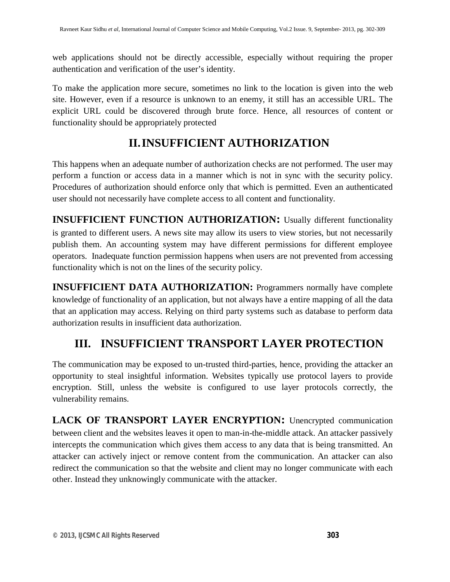web applications should not be directly accessible, especially without requiring the proper authentication and verification of the user's identity.

To make the application more secure, sometimes no link to the location is given into the web site. However, even if a resource is unknown to an enemy, it still has an accessible URL. The explicit URL could be discovered through brute force. Hence, all resources of content or functionality should be appropriately protected

## **II.INSUFFICIENT AUTHORIZATION**

This happens when an adequate number of authorization checks are not performed. The user may perform a function or access data in a manner which is not in sync with the security policy. Procedures of authorization should enforce only that which is permitted. Even an authenticated user should not necessarily have complete access to all content and functionality.

**INSUFFICIENT FUNCTION AUTHORIZATION:** Usually different functionality is granted to different users. A news site may allow its users to view stories, but not necessarily publish them. An accounting system may have different permissions for different employee operators. Inadequate function permission happens when users are not prevented from accessing functionality which is not on the lines of the security policy.

**INSUFFICIENT DATA AUTHORIZATION:** Programmers normally have complete knowledge of functionality of an application, but not always have a entire mapping of all the data that an application may access. Relying on third party systems such as database to perform data authorization results in insufficient data authorization.

## **III. INSUFFICIENT TRANSPORT LAYER PROTECTION**

The communication may be exposed to un-trusted third-parties, hence, providing the attacker an opportunity to steal insightful information. Websites typically use protocol layers to provide encryption. Still, unless the website is configured to use layer protocols correctly, the vulnerability remains.

**LACK OF TRANSPORT LAYER ENCRYPTION:** Unencrypted communication between client and the websites leaves it open to man-in-the-middle attack. An attacker passively intercepts the communication which gives them access to any data that is being transmitted. An attacker can actively inject or remove content from the communication. An attacker can also redirect the communication so that the website and client may no longer communicate with each other. Instead they unknowingly communicate with the attacker.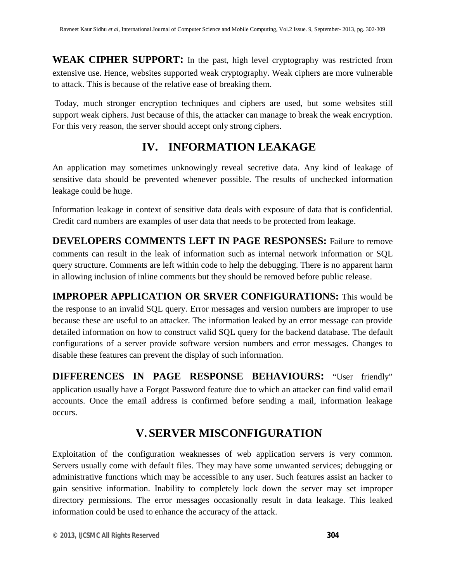**WEAK CIPHER SUPPORT:** In the past, high level cryptography was restricted from extensive use. Hence, websites supported weak cryptography. Weak ciphers are more vulnerable to attack. This is because of the relative ease of breaking them.

Today, much stronger encryption techniques and ciphers are used, but some websites still support weak ciphers. Just because of this, the attacker can manage to break the weak encryption. For this very reason, the server should accept only strong ciphers.

#### **IV. INFORMATION LEAKAGE**

An application may sometimes unknowingly reveal secretive data. Any kind of leakage of sensitive data should be prevented whenever possible. The results of unchecked information leakage could be huge.

Information leakage in context of sensitive data deals with exposure of data that is confidential. Credit card numbers are examples of user data that needs to be protected from leakage.

**DEVELOPERS COMMENTS LEFT IN PAGE RESPONSES:** Failure to remove comments can result in the leak of information such as internal network information or SQL query structure. Comments are left within code to help the debugging. There is no apparent harm in allowing inclusion of inline comments but they should be removed before public release.

**IMPROPER APPLICATION OR SRVER CONFIGURATIONS:** This would be the response to an invalid SQL query. Error messages and version numbers are improper to use because these are useful to an attacker. The information leaked by an error message can provide detailed information on how to construct valid SQL query for the backend database. The default configurations of a server provide software version numbers and error messages. Changes to disable these features can prevent the display of such information.

**DIFFERENCES IN PAGE RESPONSE BEHAVIOURS:** "User friendly" application usually have a Forgot Password feature due to which an attacker can find valid email accounts. Once the email address is confirmed before sending a mail, information leakage occurs.

## **V. SERVER MISCONFIGURATION**

Exploitation of the configuration weaknesses of web application servers is very common. Servers usually come with default files. They may have some unwanted services; debugging or administrative functions which may be accessible to any user. Such features assist an hacker to gain sensitive information. Inability to completely lock down the server may set improper directory permissions. The error messages occasionally result in data leakage. This leaked information could be used to enhance the accuracy of the attack.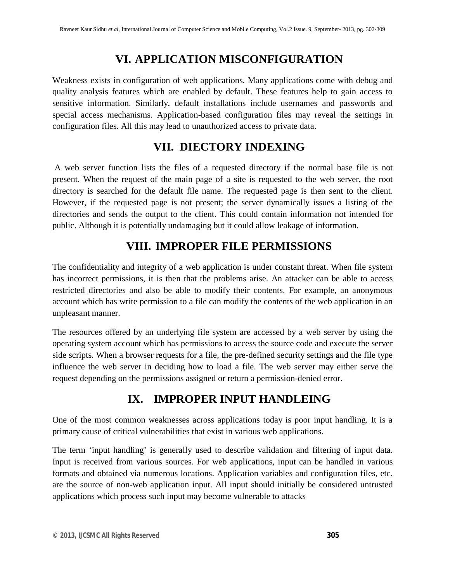## **VI. APPLICATION MISCONFIGURATION**

Weakness exists in configuration of web applications. Many applications come with debug and quality analysis features which are enabled by default. These features help to gain access to sensitive information. Similarly, default installations include usernames and passwords and special access mechanisms. Application-based configuration files may reveal the settings in configuration files. All this may lead to unauthorized access to private data.

#### **VII. DIECTORY INDEXING**

A web server function lists the files of a requested directory if the normal base file is not present. When the request of the main page of a site is requested to the web server, the root directory is searched for the default file name. The requested page is then sent to the client. However, if the requested page is not present; the server dynamically issues a listing of the directories and sends the output to the client. This could contain information not intended for public. Although it is potentially undamaging but it could allow leakage of information.

## **VIII. IMPROPER FILE PERMISSIONS**

The confidentiality and integrity of a web application is under constant threat. When file system has incorrect permissions, it is then that the problems arise. An attacker can be able to access restricted directories and also be able to modify their contents. For example, an anonymous account which has write permission to a file can modify the contents of the web application in an unpleasant manner.

The resources offered by an underlying file system are accessed by a web server by using the operating system account which has permissions to access the source code and execute the server side scripts. When a browser requests for a file, the pre-defined security settings and the file type influence the web server in deciding how to load a file. The web server may either serve the request depending on the permissions assigned or return a permission-denied error.

# **IX. IMPROPER INPUT HANDLEING**

One of the most common weaknesses across applications today is poor input handling. It is a primary cause of critical vulnerabilities that exist in various web applications.

The term 'input handling' is generally used to describe validation and filtering of input data. Input is received from various sources. For web applications, input can be handled in various formats and obtained via numerous locations. Application variables and configuration files, etc. are the source of non-web application input. All input should initially be considered untrusted applications which process such input may become vulnerable to attacks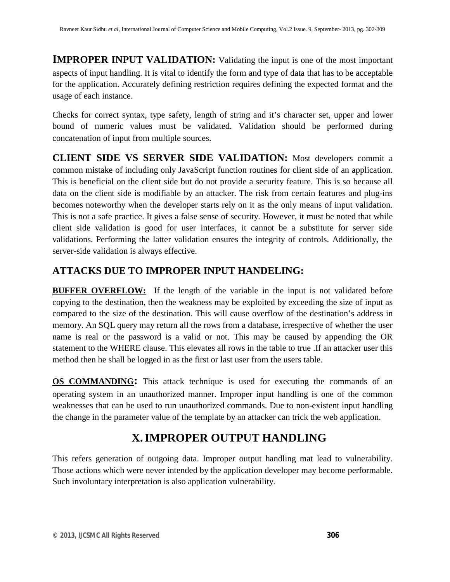**IMPROPER INPUT VALIDATION:** Validating the input is one of the most important aspects of input handling. It is vital to identify the form and type of data that has to be acceptable for the application. Accurately defining restriction requires defining the expected format and the usage of each instance.

Checks for correct syntax, type safety, length of string and it's character set, upper and lower bound of numeric values must be validated. Validation should be performed during concatenation of input from multiple sources.

**CLIENT SIDE VS SERVER SIDE VALIDATION:** Most developers commit a common mistake of including only JavaScript function routines for client side of an application. This is beneficial on the client side but do not provide a security feature. This is so because all data on the client side is modifiable by an attacker. The risk from certain features and plug-ins becomes noteworthy when the developer starts rely on it as the only means of input validation. This is not a safe practice. It gives a false sense of security. However, it must be noted that while client side validation is good for user interfaces, it cannot be a substitute for server side validations. Performing the latter validation ensures the integrity of controls. Additionally, the server-side validation is always effective.

#### **ATTACKS DUE TO IMPROPER INPUT HANDELING:**

**BUFFER OVERFLOW:** If the length of the variable in the input is not validated before copying to the destination, then the weakness may be exploited by exceeding the size of input as compared to the size of the destination. This will cause overflow of the destination's address in memory. An SQL query may return all the rows from a database, irrespective of whether the user name is real or the password is a valid or not. This may be caused by appending the OR statement to the WHERE clause. This elevates all rows in the table to true .If an attacker user this method then he shall be logged in as the first or last user from the users table.

**OS COMMANDING:** This attack technique is used for executing the commands of an operating system in an unauthorized manner. Improper input handling is one of the common weaknesses that can be used to run unauthorized commands. Due to non-existent input handling the change in the parameter value of the template by an attacker can trick the web application.

## **X.IMPROPER OUTPUT HANDLING**

This refers generation of outgoing data. Improper output handling mat lead to vulnerability. Those actions which were never intended by the application developer may become performable. Such involuntary interpretation is also application vulnerability.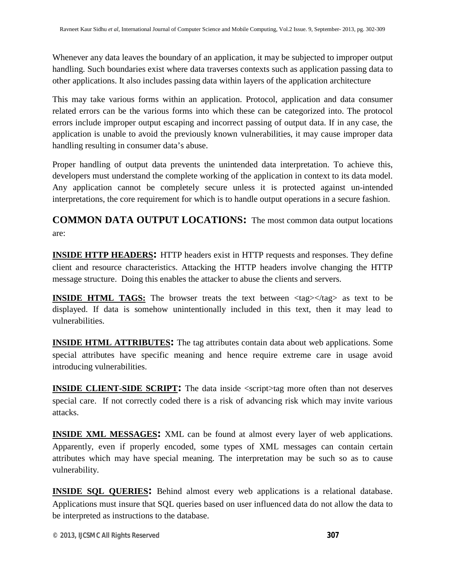Whenever any data leaves the boundary of an application, it may be subjected to improper output handling. Such boundaries exist where data traverses contexts such as application passing data to other applications. It also includes passing data within layers of the application architecture

This may take various forms within an application. Protocol, application and data consumer related errors can be the various forms into which these can be categorized into. The protocol errors include improper output escaping and incorrect passing of output data. If in any case, the application is unable to avoid the previously known vulnerabilities, it may cause improper data handling resulting in consumer data's abuse.

Proper handling of output data prevents the unintended data interpretation. To achieve this, developers must understand the complete working of the application in context to its data model. Any application cannot be completely secure unless it is protected against un-intended interpretations, the core requirement for which is to handle output operations in a secure fashion.

**COMMON DATA OUTPUT LOCATIONS:** The most common data output locations are:

**INSIDE HTTP HEADERS:** HTTP headers exist in HTTP requests and responses. They define client and resource characteristics. Attacking the HTTP headers involve changing the HTTP message structure. Doing this enables the attacker to abuse the clients and servers.

**INSIDE HTML TAGS:** The browser treats the text between  $\langle tag \rangle \langle tag \rangle$  as text to be displayed. If data is somehow unintentionally included in this text, then it may lead to vulnerabilities.

**INSIDE HTML ATTRIBUTES:** The tag attributes contain data about web applications. Some special attributes have specific meaning and hence require extreme care in usage avoid introducing vulnerabilities.

**INSIDE CLIENT-SIDE SCRIPT:** The data inside <script>tag more often than not deserves special care. If not correctly coded there is a risk of advancing risk which may invite various attacks.

**INSIDE XML MESSAGES:** XML can be found at almost every layer of web applications. Apparently, even if properly encoded, some types of XML messages can contain certain attributes which may have special meaning. The interpretation may be such so as to cause vulnerability.

**INSIDE SQL QUERIES:** Behind almost every web applications is a relational database. Applications must insure that SQL queries based on user influenced data do not allow the data to be interpreted as instructions to the database.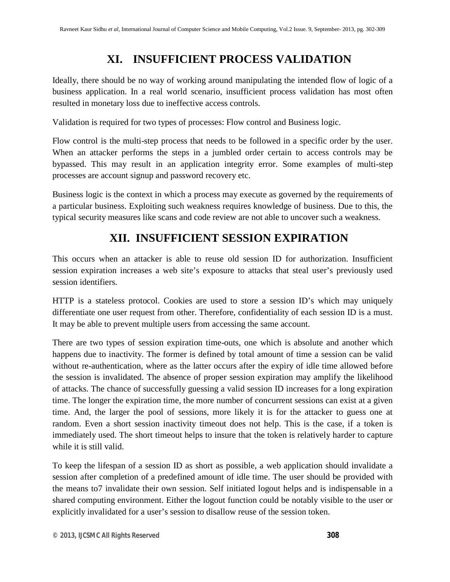## **XI. INSUFFICIENT PROCESS VALIDATION**

Ideally, there should be no way of working around manipulating the intended flow of logic of a business application. In a real world scenario, insufficient process validation has most often resulted in monetary loss due to ineffective access controls.

Validation is required for two types of processes: Flow control and Business logic.

Flow control is the multi-step process that needs to be followed in a specific order by the user. When an attacker performs the steps in a jumbled order certain to access controls may be bypassed. This may result in an application integrity error. Some examples of multi-step processes are account signup and password recovery etc.

Business logic is the context in which a process may execute as governed by the requirements of a particular business. Exploiting such weakness requires knowledge of business. Due to this, the typical security measures like scans and code review are not able to uncover such a weakness.

#### **XII. INSUFFICIENT SESSION EXPIRATION**

This occurs when an attacker is able to reuse old session ID for authorization. Insufficient session expiration increases a web site's exposure to attacks that steal user's previously used session identifiers.

HTTP is a stateless protocol. Cookies are used to store a session ID's which may uniquely differentiate one user request from other. Therefore, confidentiality of each session ID is a must. It may be able to prevent multiple users from accessing the same account.

There are two types of session expiration time-outs, one which is absolute and another which happens due to inactivity. The former is defined by total amount of time a session can be valid without re-authentication, where as the latter occurs after the expiry of idle time allowed before the session is invalidated. The absence of proper session expiration may amplify the likelihood of attacks. The chance of successfully guessing a valid session ID increases for a long expiration time. The longer the expiration time, the more number of concurrent sessions can exist at a given time. And, the larger the pool of sessions, more likely it is for the attacker to guess one at random. Even a short session inactivity timeout does not help. This is the case, if a token is immediately used. The short timeout helps to insure that the token is relatively harder to capture while it is still valid.

To keep the lifespan of a session ID as short as possible, a web application should invalidate a session after completion of a predefined amount of idle time. The user should be provided with the means to7 invalidate their own session. Self initiated logout helps and is indispensable in a shared computing environment. Either the logout function could be notably visible to the user or explicitly invalidated for a user's session to disallow reuse of the session token.